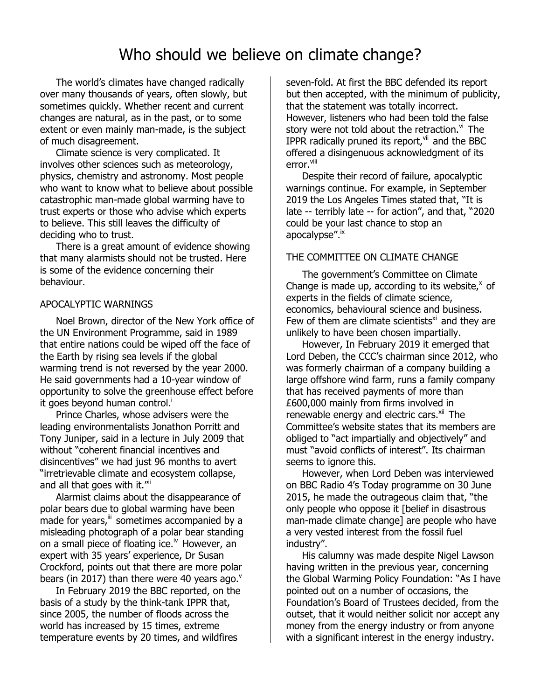# Who should we believe on climate change?

The world's climates have changed radically over many thousands of years, often slowly, but sometimes quickly. Whether recent and current changes are natural, as in the past, or to some extent or even mainly man-made, is the subject of much disagreement.

Climate science is very complicated. It involves other sciences such as meteorology, physics, chemistry and astronomy. Most people who want to know what to believe about possible catastrophic man-made global warming have to trust experts or those who advise which experts to believe. This still leaves the difficulty of deciding who to trust.

There is a great amount of evidence showing that many alarmists should not be trusted. Here is some of the evidence concerning their behaviour.

## APOCALYPTIC WARNINGS

Noel Brown, director of the New York office of the UN Environment Programme, said in 1989 that entire nations could be wiped off the face of the Earth by rising sea levels if the global warming trend is not reversed by the year 2000. He said governments had a 10-year window of opportunity to solve the greenhouse effect before it goes beyond human control.<sup>i</sup>

Prince Charles, whose advisers were the leading environmentalists Jonathon Porritt and Tony Juniper, said in a lecture in July 2009 that without "coherent financial incentives and disincentives" we had just 96 months to avert "irretrievable climate and ecosystem collapse, and all that goes with it."

Alarmist claims about the disappearance of polar bears due to global warming have been made for years,<sup>iii</sup> sometimes accompanied by a misleading photograph of a polar bear standing on a small piece of floating ice.<sup>iv</sup> However, an expert with 35 years' experience, Dr Susan Crockford, points out that there are more polar bears (in 2017) than there were 40 years ago. $<sup>v</sup>$ </sup>

In February 2019 the BBC reported, on the basis of a study by the think-tank IPPR that, since 2005, the number of floods across the world has increased by 15 times, extreme temperature events by 20 times, and wildfires

seven-fold. At first the BBC defended its report but then accepted, with the minimum of publicity, that the statement was totally incorrect. However, listeners who had been told the false story were not told about the retraction.<sup>vi</sup> The IPPR radically pruned its report, $v$ <sup>ii</sup> and the BBC offered a disingenuous acknowledgment of its error.<sup>viii</sup>

Despite their record of failure, apocalyptic warnings continue. For example, in September 2019 the Los Angeles Times stated that, "It is late -- terribly late -- for action", and that, "2020 could be your last chance to stop an apocalypse".<sup>ix</sup>

#### THE COMMITTEE ON CLIMATE CHANGE

The government's Committee on Climate Change is made up, according to its website, $x$  of experts in the fields of climate science, economics, behavioural science and business. Few of them are climate scientists $x^i$  and they are unlikely to have been chosen impartially.

However, In February 2019 it emerged that Lord Deben, the CCC's chairman since 2012, who was formerly chairman of a company building a large offshore wind farm, runs a family company that has received payments of more than £600,000 mainly from firms involved in renewable energy and electric cars.<sup>xii</sup> The Committee's website states that its members are obliged to "act impartially and objectively" and must "avoid conflicts of interest". Its chairman seems to ignore this.

However, when Lord Deben was interviewed on BBC Radio 4's Today programme on 30 June 2015, he made the outrageous claim that, "the only people who oppose it [belief in disastrous man-made climate change] are people who have a very vested interest from the fossil fuel industry".

His calumny was made despite Nigel Lawson having written in the previous year, concerning the Global Warming Policy Foundation: "As I have pointed out on a number of occasions, the Foundation's Board of Trustees decided, from the outset, that it would neither solicit nor accept any money from the energy industry or from anyone with a significant interest in the energy industry.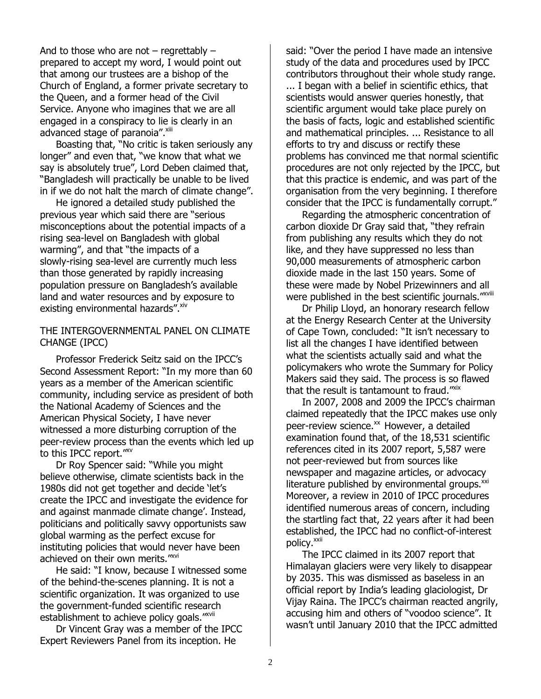And to those who are not  $-$  regrettably  $$ prepared to accept my word, I would point out that among our trustees are a bishop of the Church of England, a former private secretary to the Queen, and a former head of the Civil Service. Anyone who imagines that we are all engaged in a conspiracy to lie is clearly in an advanced stage of paranoia". Xiii

Boasting that, "No critic is taken seriously any longer" and even that, "we know that what we say is absolutely true", Lord Deben claimed that, "Bangladesh will practically be unable to be lived in if we do not halt the march of climate change".

He ignored a detailed study published the previous year which said there are "serious misconceptions about the potential impacts of a rising sea-level on Bangladesh with global warming", and that "the impacts of a slowly-rising sea-level are currently much less than those generated by rapidly increasing population pressure on Bangladesh's available land and water resources and by exposure to existing environmental hazards". Xiv

#### THE INTERGOVERNMENTAL PANEL ON CLIMATE CHANGE (IPCC)

Professor Frederick Seitz said on the IPCC's Second Assessment Report: "In my more than 60 years as a member of the American scientific community, including service as president of both the National Academy of Sciences and the American Physical Society, I have never witnessed a more disturbing corruption of the peer-review process than the events which led up to this IPCC report."XV

Dr Roy Spencer said: "While you might believe otherwise, climate scientists back in the 1980s did not get together and decide 'let's create the IPCC and investigate the evidence for and against manmade climate change'. Instead, politicians and politically savvy opportunists saw global warming as the perfect excuse for instituting policies that would never have been achieved on their own merits."<sup>XVI</sup>

He said: "I know, because I witnessed some of the behind-the-scenes planning. It is not a scientific organization. It was organized to use the government-funded scientific research establishment to achieve policy goals."<sup>xvii</sup>

Dr Vincent Gray was a member of the IPCC Expert Reviewers Panel from its inception. He

said: "Over the period I have made an intensive study of the data and procedures used by IPCC contributors throughout their whole study range.

... I began with a belief in scientific ethics, that scientists would answer queries honestly, that scientific argument would take place purely on the basis of facts, logic and established scientific and mathematical principles. ... Resistance to all efforts to try and discuss or rectify these problems has convinced me that normal scientific procedures are not only rejected by the IPCC, but that this practice is endemic, and was part of the organisation from the very beginning. I therefore consider that the IPCC is fundamentally corrupt."

Regarding the atmospheric concentration of carbon dioxide Dr Gray said that, "they refrain from publishing any results which they do not like, and they have suppressed no less than 90,000 measurements of atmospheric carbon dioxide made in the last 150 years. Some of these were made by Nobel Prizewinners and all were published in the best scientific journals."<sup>XViii</sup>

Dr Philip Lloyd, an honorary research fellow at the Energy Research Center at the University of Cape Town, concluded: "It isn't necessary to list all the changes I have identified between what the scientists actually said and what the policymakers who wrote the Summary for Policy Makers said they said. The process is so flawed that the result is tantamount to fraud."<sup>XIX</sup>

In 2007, 2008 and 2009 the IPCC's chairman claimed repeatedly that the IPCC makes use only peer-review science.<sup>xx</sup> However, a detailed examination found that, of the 18,531 scientific references cited in its 2007 report, 5,587 were not peer-reviewed but from sources like newspaper and magazine articles, or advocacy literature published by environmental groups.<sup>xxi</sup> Moreover, a review in 2010 of IPCC procedures identified numerous areas of concern, including the startling fact that, 22 years after it had been established, the IPCC had no conflict-of-interest policy.<sup>xxii</sup>

The IPCC claimed in its 2007 report that Himalayan glaciers were very likely to disappear by 2035. This was dismissed as baseless in an official report by India's leading glaciologist, Dr Vijay Raina. The IPCC's chairman reacted angrily, accusing him and others of "voodoo science". It wasn't until January 2010 that the IPCC admitted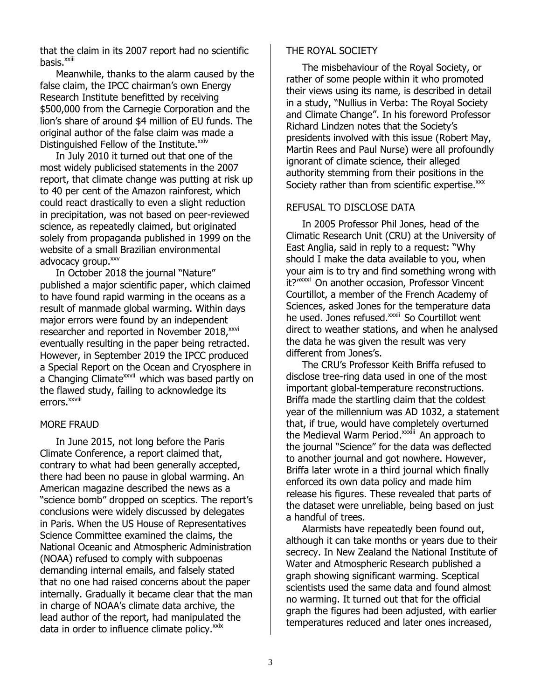that the claim in its 2007 report had no scientific basis.<sup>xxiii</sup>

Meanwhile, thanks to the alarm caused by the false claim, the IPCC chairman's own Energy Research Institute benefitted by receiving \$500,000 from the Carnegie Corporation and the lion's share of around \$4 million of EU funds. The original author of the false claim was made a Distinguished Fellow of the Institute.<sup>xxiv</sup>

In July 2010 it turned out that one of the most widely publicised statements in the 2007 report, that climate change was putting at risk up to 40 per cent of the Amazon rainforest, which could react drastically to even a slight reduction in precipitation, was not based on peer-reviewed science, as repeatedly claimed, but originated solely from propaganda published in 1999 on the website of a small Brazilian environmental advocacy group.<sup>xxv</sup>

In October 2018 the journal "Nature" published a major scientific paper, which claimed to have found rapid warming in the oceans as a result of manmade global warming. Within days major errors were found by an independent researcher and reported in November 2018,<sup>xxvi</sup> eventually resulting in the paper being retracted. However, in September 2019 the IPCC produced a Special Report on the Ocean and Cryosphere in a Changing Climate<sup>xxvii</sup> which was based partly on the flawed study, failing to acknowledge its errors.<sup>xxviii</sup>

#### MORE FRAUD

In June 2015, not long before the Paris Climate Conference, a report claimed that, contrary to what had been generally accepted, there had been no pause in global warming. An American magazine described the news as a "science bomb" dropped on sceptics. The report's conclusions were widely discussed by delegates in Paris. When the US House of Representatives Science Committee examined the claims, the National Oceanic and Atmospheric Administration (NOAA) refused to comply with subpoenas demanding internal emails, and falsely stated that no one had raised concerns about the paper internally. Gradually it became clear that the man in charge of NOAA's climate data archive, the lead author of the report, had manipulated the data in order to influence climate policy.<sup>XXIX</sup>

#### THE ROYAL SOCIETY

The misbehaviour of the Royal Society, or rather of some people within it who promoted their views using its name, is described in detail in a study, "Nullius in Verba: The Royal Society and Climate Change". In his foreword Professor Richard Lindzen notes that the Society's presidents involved with this issue (Robert May, Martin Rees and Paul Nurse) were all profoundly ignorant of climate science, their alleged authority stemming from their positions in the Society rather than from scientific expertise.<sup>xxx</sup>

## REFUSAL TO DISCLOSE DATA

In 2005 Professor Phil Jones, head of the Climatic Research Unit (CRU) at the University of East Anglia, said in reply to a request: "Why should I make the data available to you, when your aim is to try and find something wrong with it?"<sup>xxxi</sup> On another occasion, Professor Vincent Courtillot, a member of the French Academy of Sciences, asked Jones for the temperature data he used. Jones refused.<sup>xxxii</sup> So Courtillot went direct to weather stations, and when he analysed the data he was given the result was very different from Jones's.

The CRU's Professor Keith Briffa refused to disclose tree-ring data used in one of the most important global-temperature reconstructions. Briffa made the startling claim that the coldest year of the millennium was AD 1032, a statement that, if true, would have completely overturned the Medieval Warm Period.xxxiii An approach to the journal "Science" for the data was deflected to another journal and got nowhere. However, Briffa later wrote in a third journal which finally enforced its own data policy and made him release his figures. These revealed that parts of the dataset were unreliable, being based on just a handful of trees.

Alarmists have repeatedly been found out, although it can take months or years due to their secrecy. In New Zealand the National Institute of Water and Atmospheric Research published a graph showing significant warming. Sceptical scientists used the same data and found almost no warming. It turned out that for the official graph the figures had been adjusted, with earlier temperatures reduced and later ones increased,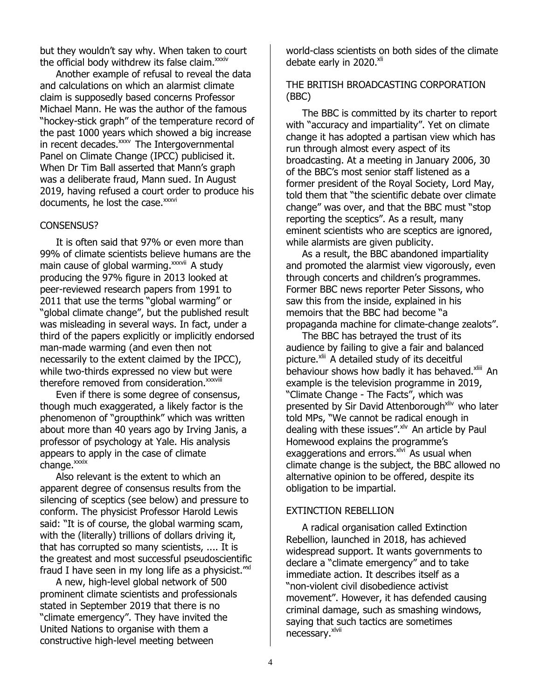but they wouldn't say why. When taken to court the official body withdrew its false claim. $xxxiv$ 

Another example of refusal to reveal the data and calculations on which an alarmist climate claim is supposedly based concerns Professor Michael Mann. He was the author of the famous "hockey-stick graph" of the temperature record of the past 1000 years which showed a big increase in recent decades.<sup>xxxv</sup> The Intergovernmental Panel on Climate Change (IPCC) publicised it. When Dr Tim Ball asserted that Mann's graph was a deliberate fraud, Mann sued. In August 2019, having refused a court order to produce his documents, he lost the case. xxxvi

#### CONSENSUS?

It is often said that 97% or even more than 99% of climate scientists believe humans are the main cause of global warming.<sup>xxxvii</sup> A study producing the 97% figure in 2013 looked at peer-reviewed research papers from 1991 to 2011 that use the terms "global warming" or "global climate change", but the published result was misleading in several ways. In fact, under a third of the papers explicitly or implicitly endorsed man-made warming (and even then not necessarily to the extent claimed by the IPCC), while two-thirds expressed no view but were therefore removed from consideration.<sup>xxxviii</sup>

Even if there is some degree of consensus, though much exaggerated, a likely factor is the phenomenon of "groupthink" which was written about more than 40 years ago by Irving Janis, a professor of psychology at Yale. His analysis appears to apply in the case of climate change.<sup>xxxix</sup>

Also relevant is the extent to which an apparent degree of consensus results from the silencing of sceptics (see below) and pressure to conform. The physicist Professor Harold Lewis said: "It is of course, the global warming scam, with the (literally) trillions of dollars driving it, that has corrupted so many scientists, .... It is the greatest and most successful pseudoscientific fraud I have seen in my long life as a physicist."XI

A new, high-level global network of 500 prominent climate scientists and professionals stated in September 2019 that there is no "climate emergency". They have invited the United Nations to organise with them a constructive high-level meeting between

world-class scientists on both sides of the climate debate early in  $2020$ . $x$ li

THE BRITISH BROADCASTING CORPORATION (BBC)

The BBC is committed by its charter to report with "accuracy and impartiality". Yet on climate change it has adopted a partisan view which has run through almost every aspect of its broadcasting. At a meeting in January 2006, 30 of the BBC's most senior staff listened as a former president of the Royal Society, Lord May, told them that "the scientific debate over climate change" was over, and that the BBC must "stop reporting the sceptics". As a result, many eminent scientists who are sceptics are ignored, while alarmists are given publicity.

As a result, the BBC abandoned impartiality and promoted the alarmist view vigorously, even through concerts and children's programmes. Former BBC news reporter Peter Sissons, who saw this from the inside, explained in his memoirs that the BBC had become "a propaganda machine for climate-change zealots".

The BBC has betrayed the trust of its audience by failing to give a fair and balanced picture.<sup>xlii</sup> A detailed study of its deceitful behaviour shows how badly it has behaved.<sup>xliii</sup> An example is the television programme in 2019, "Climate Change - The Facts", which was presented by Sir David Attenborough<sup>xliv</sup> who later told MPs, "We cannot be radical enough in dealing with these issues". $x^{1/2}$  An article by Paul Homewood explains the programme's exaggerations and errors.<sup>xlvi</sup> As usual when climate change is the subject, the BBC allowed no alternative opinion to be offered, despite its obligation to be impartial.

#### EXTINCTION REBELLION

A radical organisation called Extinction Rebellion, launched in 2018, has achieved widespread support. It wants governments to declare a "climate emergency" and to take immediate action. It describes itself as a "non-violent civil disobedience activist movement". However, it has defended causing criminal damage, such as smashing windows, saying that such tactics are sometimes necessary.<sup>xlvii</sup>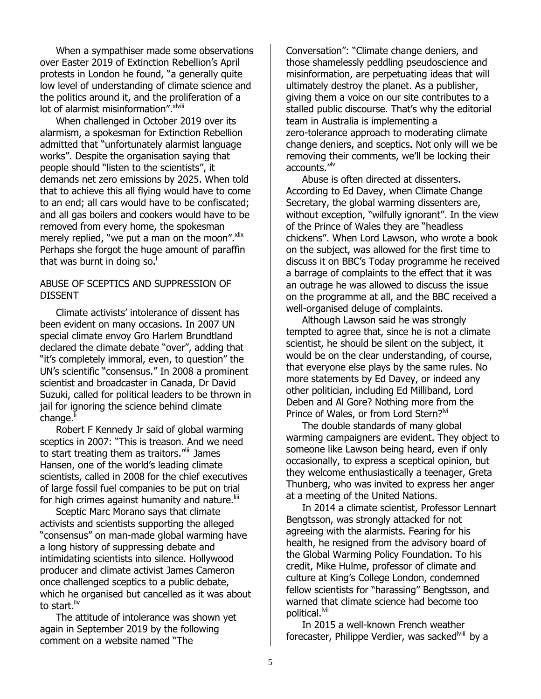When a sympathiser made some observations over Easter 2019 of Extinction Rebellion's April protests in London he found, "a generally quite low level of understanding of climate science and the politics around it, and the proliferation of a lot of alarmist misinformation". XIVIII

When challenged in October 2019 over its alarmism, a spokesman for Extinction Rebellion admitted that "unfortunately alarmist language works". Despite the organisation saying that people should "listen to the scientists", it demands net zero emissions by 2025. When told that to achieve this all flying would have to come to an end; all cars would have to be confiscated; and all gas boilers and cookers would have to be removed from every home, the spokesman merely replied, "we put a man on the moon". xlix Perhaps she forgot the huge amount of paraffin that was burnt in doing so.

## ABUSE OF SCEPTICS AND SUPPRESSION OF DISSENT

Climate activists' intolerance of dissent has been evident on many occasions. In 2007 UN special climate envoy Gro Harlem Brundtland declared the climate debate "over", adding that "it's completely immoral, even, to question" the UN's scientific "consensus." In 2008 a prominent scientist and broadcaster in Canada, Dr David Suzuki, called for political leaders to be thrown in jail for ignoring the science behind climate change.<sup>li</sup>

Robert F Kennedy Jr said of global warming sceptics in 2007: "This is treason. And we need to start treating them as traitors."<sup>III</sup> James Hansen, one of the world's leading climate scientists, called in 2008 for the chief executives of large fossil fuel companies to be put on trial for high crimes against humanity and nature.<sup>Iiii</sup>

Sceptic Marc Morano says that climate activists and scientists supporting the alleged "consensus" on man-made global warming have a long history of suppressing debate and intimidating scientists into silence. Hollywood producer and climate activist James Cameron once challenged sceptics to a public debate, which he organised but cancelled as it was about to start.<sup>liv</sup>

The attitude of intolerance was shown yet again in September 2019 by the following comment on a website named "The

Conversation": "Climate change deniers, and those shamelessly peddling pseudoscience and misinformation, are perpetuating ideas that will ultimately destroy the planet. As a publisher, giving them a voice on our site contributes to a stalled public discourse. That's why the editorial team in Australia is implementing a zero-tolerance approach to moderating climate change deniers, and sceptics. Not only will we be removing their comments, we'll be locking their accounts."<sup>//v</sup>

Abuse is often directed at dissenters. According to Ed Davey, when Climate Change Secretary, the global warming dissenters are, without exception, "wilfully ignorant". In the view of the Prince of Wales they are "headless chickens". When Lord Lawson, who wrote a book on the subject, was allowed for the first time to discuss it on BBC's Today programme he received a barrage of complaints to the effect that it was an outrage he was allowed to discuss the issue on the programme at all, and the BBC received a well-organised deluge of complaints.

Although Lawson said he was strongly tempted to agree that, since he is not a climate scientist, he should be silent on the subject, it would be on the clear understanding, of course, that everyone else plays by the same rules. No more statements by Ed Davey, or indeed any other politician, including Ed Milliband, Lord Deben and Al Gore? Nothing more from the Prince of Wales, or from Lord Stern?<sup>Ivi</sup>

The double standards of many global warming campaigners are evident. They object to someone like Lawson being heard, even if only occasionally, to express a sceptical opinion, but they welcome enthusiastically a teenager, Greta Thunberg, who was invited to express her anger at a meeting of the United Nations.

In 2014 a climate scientist, Professor Lennart Bengtsson, was strongly attacked for not agreeing with the alarmists. Fearing for his health, he resigned from the advisory board of the Global Warming Policy Foundation. To his credit, Mike Hulme, professor of climate and culture at King's College London, condemned fellow scientists for "harassing" Bengtsson, and warned that climate science had become too political.<sup>lvii</sup>

In 2015 a well-known French weather forecaster, Philippe Verdier, was sacked<sup>lviii</sup> by a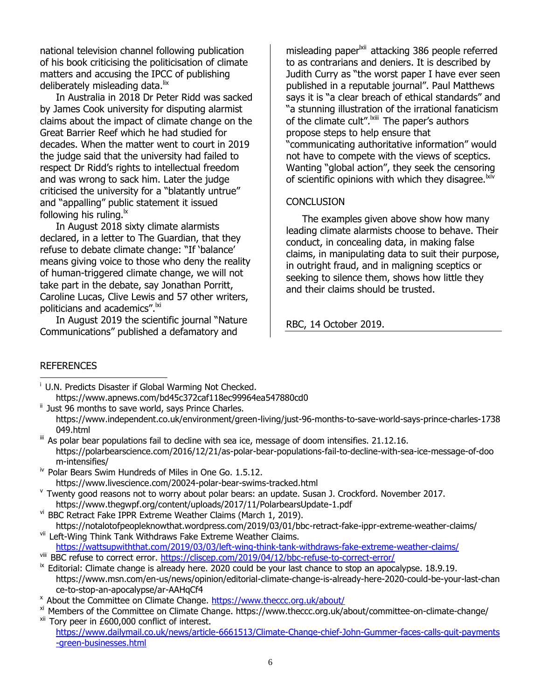national television channel following publication of his book criticising the politicisation of climate matters and accusing the IPCC of publishing deliberately misleading data.<sup>IIX</sup>

In Australia in 2018 Dr Peter Ridd was sacked by James Cook university for disputing alarmist claims about the impact of climate change on the Great Barrier Reef which he had studied for decades. When the matter went to court in 2019 the judge said that the university had failed to respect Dr Ridd's rights to intellectual freedom and was wrong to sack him. Later the judge criticised the university for a "blatantly untrue" and "appalling" public statement it issued following his ruling. $\frac{1}{x}$ 

In August 2018 sixty climate alarmists declared, in a letter to The Guardian, that they refuse to debate climate change: "If 'balance' means giving voice to those who deny the reality of human-triggered climate change, we will not take part in the debate, say Jonathan Porritt, Caroline Lucas, Clive Lewis and 57 other writers, politicians and academics".<sup>Ixi</sup>

In August 2019 the scientific journal "Nature Communications" published a defamatory and

misleading paper<sup>lxii</sup> attacking 386 people referred to as contrarians and deniers. It is described by Judith Curry as "the worst paper I have ever seen published in a reputable journal". Paul Matthews says it is "a clear breach of ethical standards" and "a stunning illustration of the irrational fanaticism of the climate cult".<sup>Ixiii</sup> The paper's authors propose steps to help ensure that "communicating authoritative information" would not have to compete with the views of sceptics. Wanting "global action", they seek the censoring of scientific opinions with which they disagree. Kiv

## **CONCLUSION**

The examples given above show how many leading climate alarmists choose to behave. Their conduct, in concealing data, in making false claims, in manipulating data to suit their purpose, in outright fraud, and in maligning sceptics or seeking to silence them, shows how little they and their claims should be trusted.

RBC, 14 October 2019.

## **REFERENCES**

l

<sup>i</sup> U.N. Predicts Disaster if Global Warming Not Checked. https://www.apnews.com/bd45c372caf118ec99964ea547880cd0

 $\frac{1}{1}$  Just 96 months to save world, says Prince Charles.

- III As polar bear populations fail to decline with sea ice, message of doom intensifies. 21.12.16. https://polarbearscience.com/2016/12/21/as-polar-bear-populations-fail-to-decline-with-sea-ice-message-of-doo m-intensifies/
- <sup>iv</sup> Polar Bears Swim Hundreds of Miles in One Go. 1.5.12. https://www.livescience.com/20024-polar-bear-swims-tracked.html
- v Twenty good reasons not to worry about polar bears: an update. Susan J. Crockford. November 2017. https://www.thegwpf.org/content/uploads/2017/11/PolarbearsUpdate-1.pdf
- vi BBC Retract Fake IPPR Extreme Weather Claims (March 1, 2019).
- https://notalotofpeopleknowthat.wordpress.com/2019/03/01/bbc-retract-fake-ippr-extreme-weather-claims/ vii Left-Wing Think Tank Withdraws Fake Extreme Weather Claims.

<https://wattsupwiththat.com/2019/03/03/left-wing-think-tank-withdraws-fake-extreme-weather-claims/>

- viii BBC refuse to correct error.<https://cliscep.com/2019/04/12/bbc-refuse-to-correct-error/>
- $\frac{1}{10}$  Editorial: Climate change is already here. 2020 could be your last chance to stop an apocalypse. 18.9.19. https://www.msn.com/en-us/news/opinion/editorial-climate-change-is-already-here-2020-could-be-your-last-chan ce-to-stop-an-apocalypse/ar-AAHqCf4
- <sup>x</sup> About the Committee on Climate Change.<https://www.theccc.org.uk/about/>
- xi Members of the Committee on Climate Change. https://www.theccc.org.uk/about/committee-on-climate-change/ xii Tory peer in £600,000 conflict of interest.

[https://www.dailymail.co.uk/news/article-6661513/Climate-Change-chief-John-Gummer-faces-calls-quit-payments](https://www.dailymail.co.uk/news/article-6661513/Climate-Change-chief-John-Gummer-faces-calls-quit-payments-green-businesses.html) [-green-businesses.html](https://www.dailymail.co.uk/news/article-6661513/Climate-Change-chief-John-Gummer-faces-calls-quit-payments-green-businesses.html)

https://www.independent.co.uk/environment/green-living/just-96-months-to-save-world-says-prince-charles-1738 049.html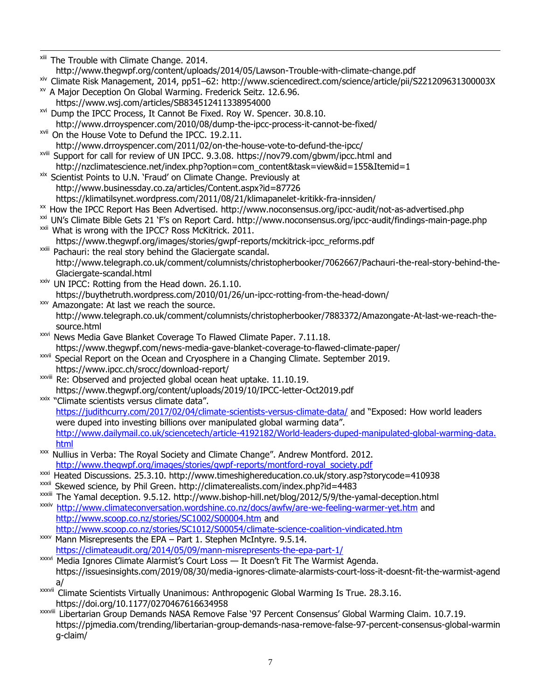- 1 <sup>xiii</sup> The Trouble with Climate Change, 2014.
- http://www.thegwpf.org/content/uploads/2014/05/Lawson-Trouble-with-climate-change.pdf
- xiv Climate Risk Management, 2014, pp51–62: http://www.sciencedirect.com/science/article/pii/S221209631300003X xv A Major Deception On Global Warming. Frederick Seitz. 12.6.96.
- https://www.wsj.com/articles/SB834512411338954000
- <sup>xvi</sup> Dump the IPCC Process, It Cannot Be Fixed. Roy W. Spencer. 30.8.10. http://www.drroyspencer.com/2010/08/dump-the-ipcc-process-it-cannot-be-fixed/
- xvii On the House Vote to Defund the IPCC. 19.2.11. http://www.drroyspencer.com/2011/02/on-the-house-vote-to-defund-the-ipcc/
- xviii Support for call for review of UN IPCC. 9.3.08. https://nov79.com/gbwm/ipcc.html and http://nzclimatescience.net/index.php?option=com\_content&task=view&id=155&Itemid=1
- xix Scientist Points to U.N. 'Fraud' on Climate Change. Previously at http://www.businessday.co.za/articles/Content.aspx?id=87726 https://klimatilsynet.wordpress.com/2011/08/21/klimapanelet-kritikk-fra-innsiden/
- xx How the IPCC Report Has Been Advertised. http://www.noconsensus.org/ipcc-audit/not-as-advertised.php<br>xxi LIN's Climate Bible Gets 21 \F's on Report Card, http://www.noconsensus.org/ipcc-audit/findings-main-page
- UN's Climate Bible Gets 21 'F's on Report Card. http://www.noconsensus.org/ipcc-audit/findings-main-page.php
- xxii What is wrong with the IPCC? Ross McKitrick. 2011.
- https://www.thegwpf.org/images/stories/gwpf-reports/mckitrick-ipcc\_reforms.pdf xxiii Pachauri: the real story behind the Glaciergate scandal. http://www.telegraph.co.uk/comment/columnists/christopherbooker/7062667/Pachauri-the-real-story-behind-the-Glaciergate-scandal.html
- $xxiv}$  UN IPCC: Rotting from the Head down. 26.1.10. https://buythetruth.wordpress.com/2010/01/26/un-ipcc-rotting-from-the-head-down/
- xxv Amazongate: At last we reach the source. http://www.telegraph.co.uk/comment/columnists/christopherbooker/7883372/Amazongate-At-last-we-reach-thesource.html
- <sup>xxvi</sup> News Media Gave Blanket Coverage To Flawed Climate Paper. 7.11.18. https://www.thegwpf.com/news-media-gave-blanket-coverage-to-flawed-climate-paper/
- xxvii Special Report on the Ocean and Cryosphere in a Changing Climate. September 2019. https://www.ipcc.ch/srocc/download-report/
- xxviii Re: Observed and projected global ocean heat uptake. 11.10.19. https://www.thegwpf.org/content/uploads/2019/10/IPCC-letter-Oct2019.pdf
- xxix "Climate scientists versus climate data". <https://judithcurry.com/2017/02/04/climate-scientists-versus-climate-data/> and "Exposed: How world leaders were duped into investing billions over manipulated global warming data". [http://www.dailymail.co.uk/sciencetech/article-4192182/World-leaders-duped-manipulated-global-warming-data.](http://www.dailymail.co.uk/sciencetech/article-4192182/World-leaders-duped-manipulated-global-warming-data.html) [html](http://www.dailymail.co.uk/sciencetech/article-4192182/World-leaders-duped-manipulated-global-warming-data.html)
- xxx Nullius in Verba: The Royal Society and Climate Change". Andrew Montford. 2012. [http://www.thegwpf.org/images/stories/gwpf-reports/montford-royal\\_society.pdf](http://www.thegwpf.org/images/stories/gwpf-reports/montford-royal_society.pdf)
- xxxi Heated Discussions. 25.3.10. http://www.timeshighereducation.co.uk/story.asp?storycode=410938
- xxxii Skewed science, by Phil Green. http://climaterealists.com/index.php?id=4483
- xxxiii The Yamal deception. 9.5.12. http://www.bishop-hill.net/blog/2012/5/9/the-yamal-deception.html<br>xxxiy http://www.climateconversation.wordshine.co.nz/docs/awfw/are-we-feeling-warmer-vet.htm and
- xxxiv <http://www.climateconversation.wordshine.co.nz/docs/awfw/are-we-feeling-warmer-yet.htm> and <http://www.scoop.co.nz/stories/SC1002/S00004.htm> and <http://www.scoop.co.nz/stories/SC1012/S00054/climate-science-coalition-vindicated.htm>
- $xxxv$  Mann Misrepresents the EPA Part 1. Stephen McIntyre. 9.5.14. <https://climateaudit.org/2014/05/09/mann-misrepresents-the-epa-part-1/>
- xxxvi Media Ignores Climate Alarmist's Court Loss It Doesn't Fit The Warmist Agenda. https://issuesinsights.com/2019/08/30/media-ignores-climate-alarmists-court-loss-it-doesnt-fit-the-warmist-agend a/
- xxxvii Climate Scientists Virtually Unanimous: Anthropogenic Global Warming Is True. 28.3.16. https://doi.org/10.1177/0270467616634958
- xxxviii Libertarian Group Demands NASA Remove False '97 Percent Consensus' Global Warming Claim. 10.7.19. https://pjmedia.com/trending/libertarian-group-demands-nasa-remove-false-97-percent-consensus-global-warmin g-claim/